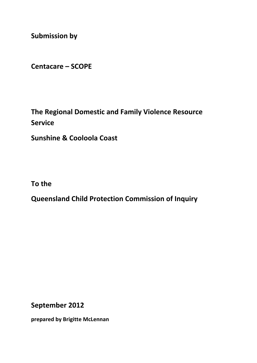**Submission by**

**Centacare – SCOPE**

**The Regional Domestic and Family Violence Resource Service** 

**Sunshine & Cooloola Coast** 

**To the**

**Queensland Child Protection Commission of Inquiry**

**September 2012**

**prepared by Brigitte McLennan**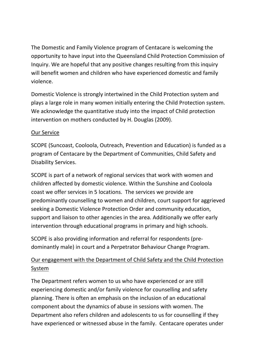The Domestic and Family Violence program of Centacare is welcoming the opportunity to have input into the Queensland Child Protection Commission of Inquiry. We are hopeful that any positive changes resulting from this inquiry will benefit women and children who have experienced domestic and family violence.

Domestic Violence is strongly intertwined in the Child Protection system and plays a large role in many women initially entering the Child Protection system. We acknowledge the quantitative study into the impact of Child protection intervention on mothers conducted by H. Douglas (2009).

## Our Service

SCOPE (Suncoast, Cooloola, Outreach, Prevention and Education) is funded as a program of Centacare by the Department of Communities, Child Safety and Disability Services.

SCOPE is part of a network of regional services that work with women and children affected by domestic violence. Within the Sunshine and Cooloola coast we offer services in 5 locations. The services we provide are predominantly counselling to women and children, court support for aggrieved seeking a Domestic Violence Protection Order and community education, support and liaison to other agencies in the area. Additionally we offer early intervention through educational programs in primary and high schools.

SCOPE is also providing information and referral for respondents (pre‐ dominantly male) in court and a Perpetrator Behaviour Change Program.

## Our engagement with the Department of Child Safety and the Child Protection System

The Department refers women to us who have experienced or are still experiencing domestic and/or family violence for counselling and safety planning. There is often an emphasis on the inclusion of an educational component about the dynamics of abuse in sessions with women. The Department also refers children and adolescents to us for counselling if they have experienced or witnessed abuse in the family. Centacare operates under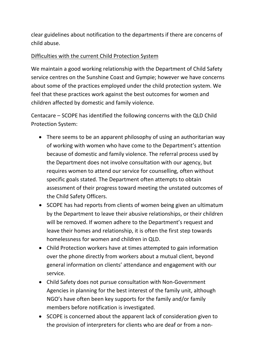clear guidelines about notification to the departments if there are concerns of child abuse.

## Difficulties with the current Child Protection System

We maintain a good working relationship with the Department of Child Safety service centres on the Sunshine Coast and Gympie; however we have concerns about some of the practices employed under the child protection system. We feel that these practices work against the best outcomes for women and children affected by domestic and family violence.

Centacare – SCOPE has identified the following concerns with the QLD Child Protection System:

- There seems to be an apparent philosophy of using an authoritarian way of working with women who have come to the Department's attention because of domestic and family violence. The referral process used by the Department does not involve consultation with our agency, but requires women to attend our service for counselling, often without specific goals stated. The Department often attempts to obtain assessment of their progress toward meeting the unstated outcomes of the Child Safety Officers.
- SCOPE has had reports from clients of women being given an ultimatum by the Department to leave their abusive relationships, or their children will be removed. If women adhere to the Department's request and leave their homes and relationship, it is often the first step towards homelessness for women and children in QLD.
- Child Protection workers have at times attempted to gain information over the phone directly from workers about a mutual client, beyond general information on clients' attendance and engagement with our service.
- Child Safety does not pursue consultation with Non‐Government Agencies in planning for the best interest of the family unit, although NGO's have often been key supports for the family and/or family members before notification is investigated.
- SCOPE is concerned about the apparent lack of consideration given to the provision of interpreters for clients who are deaf or from a non‐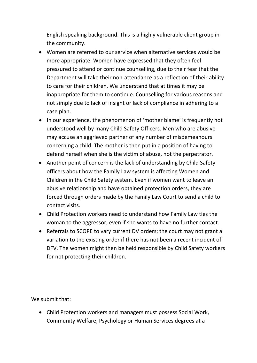English speaking background. This is a highly vulnerable client group in the community.

- Women are referred to our service when alternative services would be more appropriate. Women have expressed that they often feel pressured to attend or continue counselling, due to their fear that the Department will take their non‐attendance as a reflection of their ability to care for their children. We understand that at times it may be inappropriate for them to continue. Counselling for various reasons and not simply due to lack of insight or lack of compliance in adhering to a case plan.
- In our experience, the phenomenon of 'mother blame' is frequently not understood well by many Child Safety Officers. Men who are abusive may accuse an aggrieved partner of any number of misdemeanours concerning a child. The mother is then put in a position of having to defend herself when she is the victim of abuse, not the perpetrator.
- Another point of concern is the lack of understanding by Child Safety officers about how the Family Law system is affecting Women and Children in the Child Safety system. Even if women want to leave an abusive relationship and have obtained protection orders, they are forced through orders made by the Family Law Court to send a child to contact visits.
- Child Protection workers need to understand how Family Law ties the woman to the aggressor, even if she wants to have no further contact.
- Referrals to SCOPE to vary current DV orders; the court may not grant a variation to the existing order if there has not been a recent incident of DFV. The women might then be held responsible by Child Safety workers for not protecting their children.

We submit that:

 Child Protection workers and managers must possess Social Work, Community Welfare, Psychology or Human Services degrees at a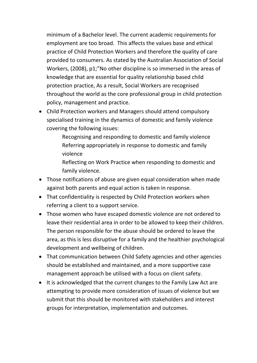minimum of a Bachelor level. The current academic requirements for employment are too broad. This affects the values base and ethical practice of Child Protection Workers and therefore the quality of care provided to consumers. As stated by the Australian Association of Social Workers, (2008), p1;"No other discipline is so immersed in the areas of knowledge that are essential for quality relationship based child protection practice, As a result, Social Workers are recognised throughout the world as the core professional group in child protection policy, management and practice.

- Child Protection workers and Managers should attend compulsory specialised training in the dynamics of domestic and family violence covering the following issues:
	- Recognising and responding to domestic and family violence Referring appropriately in response to domestic and family violence
	- Reflecting on Work Practice when responding to domestic and family violence.
- Those notifications of abuse are given equal consideration when made against both parents and equal action is taken in response.
- That confidentiality is respected by Child Protection workers when referring a client to a support service.
- Those women who have escaped domestic violence are not ordered to leave their residential area in order to be allowed to keep their children. The person responsible for the abuse should be ordered to leave the area, as this is less disruptive for a family and the healthier psychological development and wellbeing of children.
- That communication between Child Safety agencies and other agencies should be established and maintained, and a more supportive case management approach be utilised with a focus on client safety.
- It is acknowledged that the current changes to the Family Law Act are attempting to provide more consideration of issues of violence but we submit that this should be monitored with stakeholders and interest groups for interpretation, implementation and outcomes.